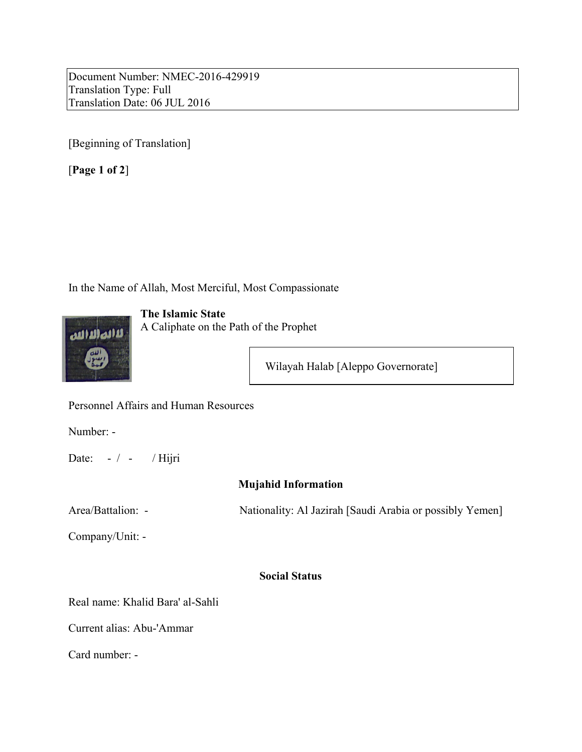Document Number: NMEC-2016-429919 Translation Type: Full Translation Date: 06 JUL 2016

[Beginning of Translation]

[**Page 1 of 2**]

In the Name of Allah, Most Merciful, Most Compassionate



**The Islamic State** A Caliphate on the Path of the Prophet

Wilayah Halab [Aleppo Governorate]

Personnel Affairs and Human Resources

Number: -

Date:  $-/-$  / Hijri

# **Mujahid Information**

Area/Battalion: - Nationality: Al Jazirah [Saudi Arabia or possibly Yemen]

Company/Unit: -

# **Social Status**

Real name: Khalid Bara' al-Sahli

Current alias: Abu-'Ammar

Card number: -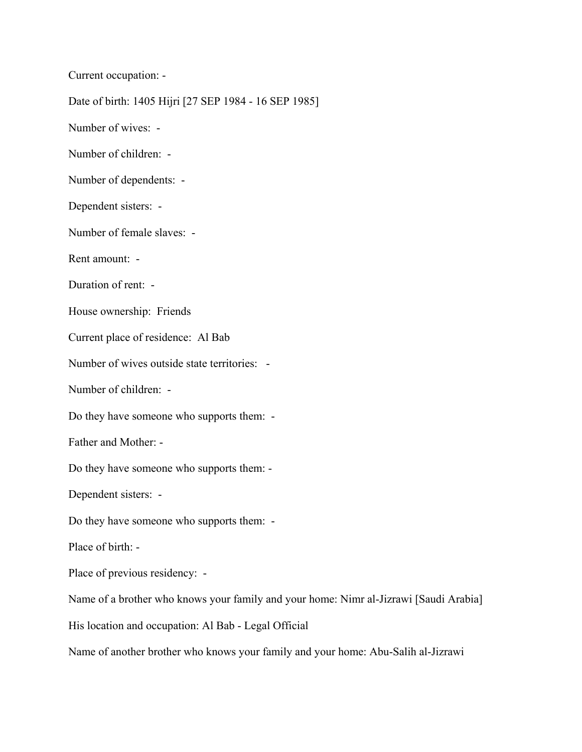Current occupation: -

Date of birth: 1405 Hijri [27 SEP 1984 - 16 SEP 1985]

Number of wives: -

Number of children: -

Number of dependents: -

Dependent sisters: -

Number of female slaves: -

Rent amount: -

Duration of rent: -

House ownership: Friends

Current place of residence: Al Bab

Number of wives outside state territories: -

Number of children: -

Do they have someone who supports them: -

Father and Mother: -

Do they have someone who supports them: -

Dependent sisters: -

Do they have someone who supports them: -

Place of birth: -

Place of previous residency: -

Name of a brother who knows your family and your home: Nimr al-Jizrawi [Saudi Arabia]

His location and occupation: Al Bab - Legal Official

Name of another brother who knows your family and your home: Abu-Salih al-Jizrawi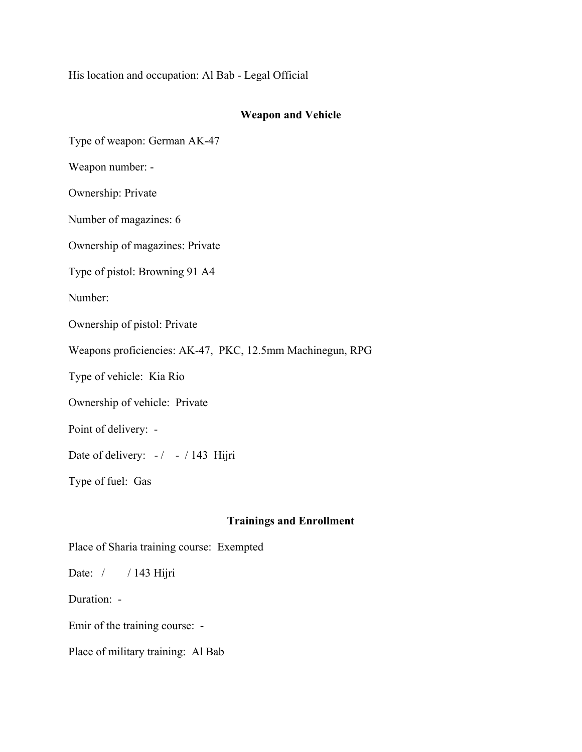His location and occupation: Al Bab - Legal Official

### **Weapon and Vehicle**

Type of weapon: German AK-47

Weapon number: -

Ownership: Private

Number of magazines: 6

Ownership of magazines: Private

Type of pistol: Browning 91 A4

Number:

Ownership of pistol: Private

Weapons proficiencies: AK-47, PKC, 12.5mm Machinegun, RPG

Type of vehicle: Kia Rio

Ownership of vehicle: Private

Point of delivery: -

Date of delivery:  $-/-143$  Hijri

Type of fuel: Gas

### **Trainings and Enrollment**

Place of Sharia training course: Exempted

Date: / / 143 Hijri

Duration: -

Emir of the training course: -

Place of military training: Al Bab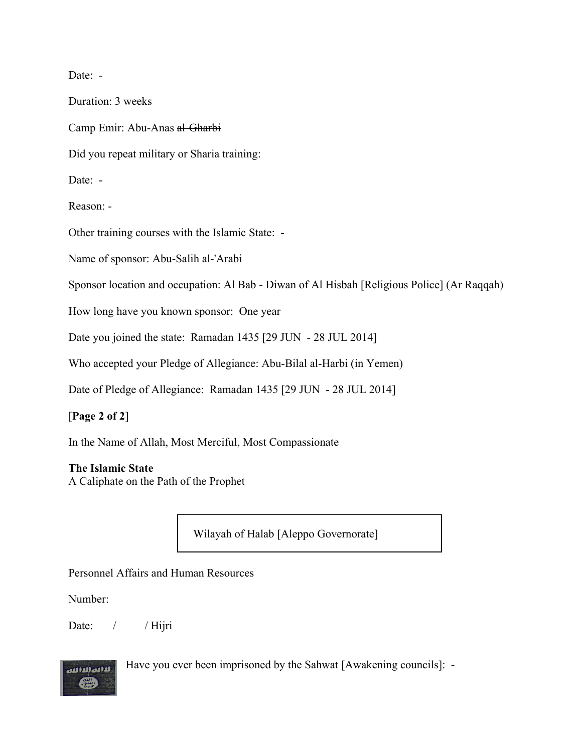Date: -

Duration: 3 weeks

Camp Emir: Abu-Anas al Gharbi

Did you repeat military or Sharia training:

Date: -

Reason: -

Other training courses with the Islamic State: -

Name of sponsor: Abu-Salih al-'Arabi

Sponsor location and occupation: Al Bab - Diwan of Al Hisbah [Religious Police] (Ar Raqqah)

How long have you known sponsor: One year

Date you joined the state: Ramadan 1435 [29 JUN - 28 JUL 2014]

Who accepted your Pledge of Allegiance: Abu-Bilal al-Harbi (in Yemen)

Date of Pledge of Allegiance: Ramadan 1435 [29 JUN - 28 JUL 2014]

### [**Page 2 of 2**]

In the Name of Allah, Most Merciful, Most Compassionate

#### **The Islamic State**

A Caliphate on the Path of the Prophet

Wilayah of Halab [Aleppo Governorate]

Personnel Affairs and Human Resources

Number:

Date: / / Hijri



Have you ever been imprisoned by the Sahwat [Awakening councils]: -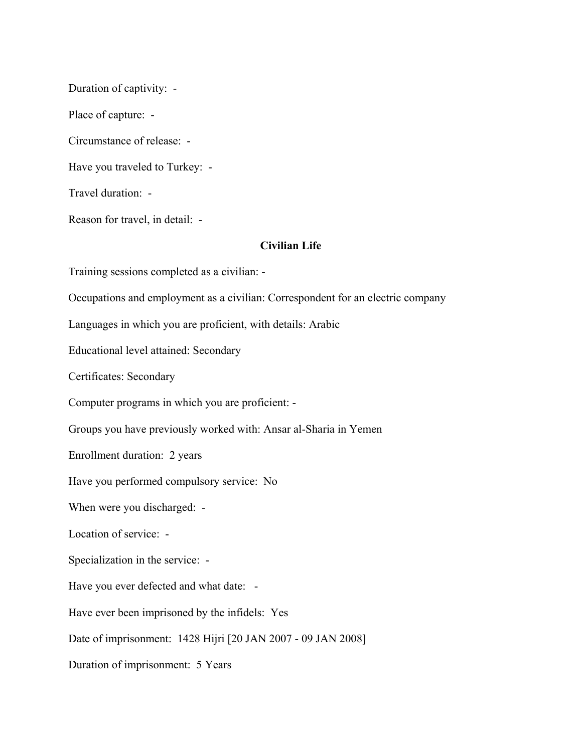Duration of captivity: -

Place of capture: -

Circumstance of release: -

Have you traveled to Turkey: -

Travel duration: -

Reason for travel, in detail: -

## **Civilian Life**

Training sessions completed as a civilian: -

Occupations and employment as a civilian: Correspondent for an electric company

Languages in which you are proficient, with details: Arabic

Educational level attained: Secondary

Certificates: Secondary

Computer programs in which you are proficient: -

Groups you have previously worked with: Ansar al-Sharia in Yemen

Enrollment duration: 2 years

Have you performed compulsory service: No

When were you discharged: -

Location of service: -

Specialization in the service: -

Have you ever defected and what date: -

Have ever been imprisoned by the infidels: Yes

Date of imprisonment: 1428 Hijri [20 JAN 2007 - 09 JAN 2008]

Duration of imprisonment: 5 Years